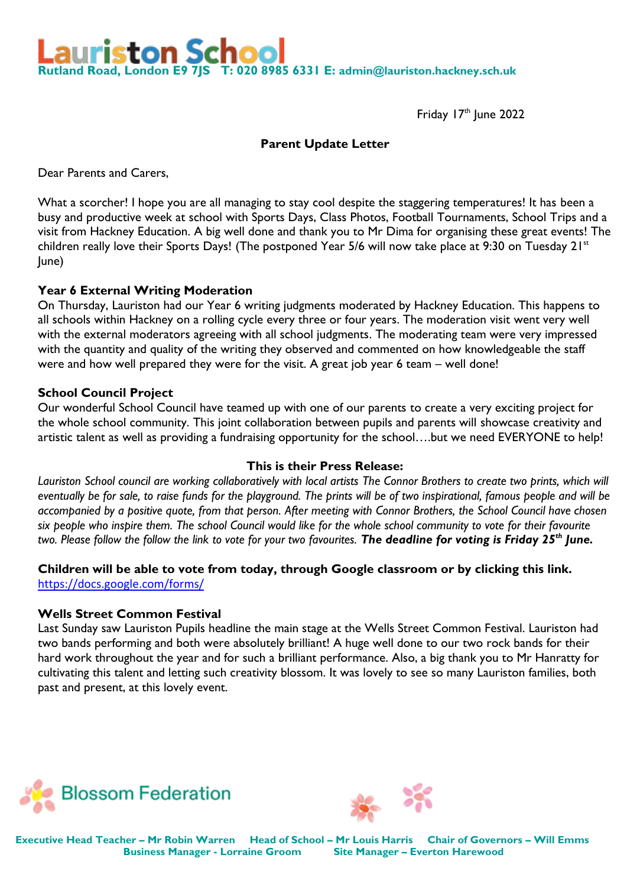iston School **Rutland Road, London E9 7JS T: 020 8985 6331 E: [admin@lauriston.hackney.sch.uk](mailto:admin@lauriston.hackney.sch.uk)**

Friday  $17<sup>th</sup>$  lune 2022

## **Parent Update Letter**

Dear Parents and Carers,

What a scorcher! I hope you are all managing to stay cool despite the staggering temperatures! It has been a busy and productive week at school with Sports Days, Class Photos, Football Tournaments, School Trips and a visit from Hackney Education. A big well done and thank you to Mr Dima for organising these great events! The children really love their Sports Days! (The postponed Year 5/6 will now take place at 9:30 on Tuesday 21<sup>st</sup> June)

### **Year 6 External Writing Moderation**

On Thursday, Lauriston had our Year 6 writing judgments moderated by Hackney Education. This happens to all schools within Hackney on a rolling cycle every three or four years. The moderation visit went very well with the external moderators agreeing with all school judgments. The moderating team were very impressed with the quantity and quality of the writing they observed and commented on how knowledgeable the staff were and how well prepared they were for the visit. A great job year 6 team – well done!

### **School Council Project**

Our wonderful School Council have teamed up with one of our parents to create a very exciting project for the whole school community. This joint collaboration between pupils and parents will showcase creativity and artistic talent as well as providing a fundraising opportunity for the school….but we need EVERYONE to help!

### **This is their Press Release:**

*Lauriston School council are working collaboratively with local artists The Connor Brothers to create two prints, which will eventually be for sale, to raise funds for the playground. The prints will be of two inspirational, famous people and will be accompanied by a positive quote, from that person. After meeting with Connor Brothers, the School Council have chosen six people who inspire them. The school Council would like for the whole school community to vote for their favourite two. Please follow the follow the link to vote for your two favourites. The deadline for voting is Friday 25th June.*

### **Children will be able to vote from today, through Google classroom or by clicking this link.**  <https://docs.google.com/forms/>

#### **Wells Street Common Festival**

Last Sunday saw Lauriston Pupils headline the main stage at the Wells Street Common Festival. Lauriston had two bands performing and both were absolutely brilliant! A huge well done to our two rock bands for their hard work throughout the year and for such a brilliant performance. Also, a big thank you to Mr Hanratty for cultivating this talent and letting such creativity blossom. It was lovely to see so many Lauriston families, both past and present, at this lovely event.





**Executive Head Teacher – Mr Robin Warren Head of School – Mr Louis Harris Chair of Governors – Will Emms Business Manager - Lorraine Groom Site Manager – Everton Harewood**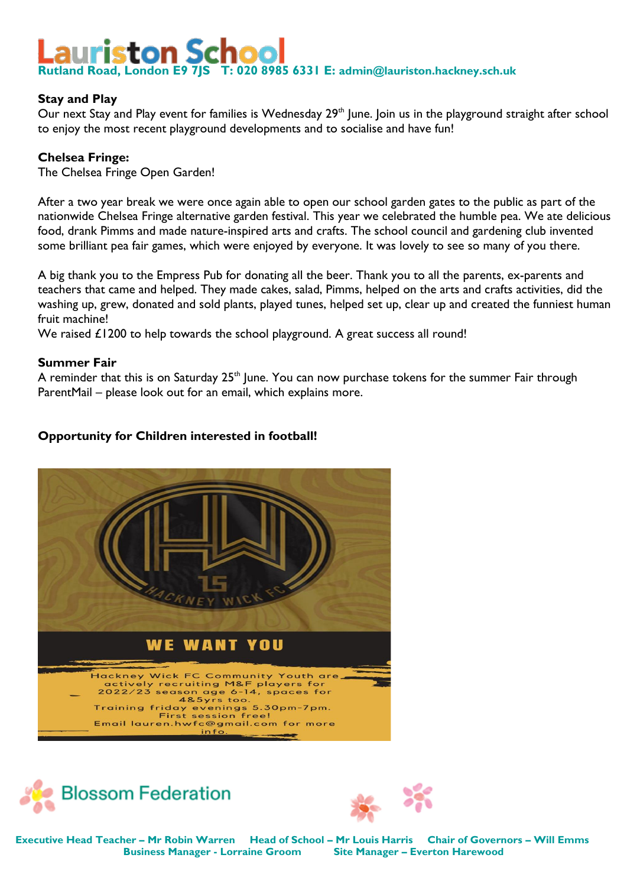# riston Schoo **Rutland Road, London E9 7JS T: 020 8985 6331 E: [admin@lauriston.hackney.sch.uk](mailto:admin@lauriston.hackney.sch.uk)**

## **Stay and Play**

Our next Stay and Play event for families is Wednesday 29<sup>th</sup> June. Join us in the playground straight after school to enjoy the most recent playground developments and to socialise and have fun!

## **Chelsea Fringe:**

The Chelsea Fringe Open Garden!

After a two year break we were once again able to open our school garden gates to the public as part of the nationwide Chelsea Fringe alternative garden festival. This year we celebrated the humble pea. We ate delicious food, drank Pimms and made nature-inspired arts and crafts. The school council and gardening club invented some brilliant pea fair games, which were enjoyed by everyone. It was lovely to see so many of you there.

A big thank you to the Empress Pub for donating all the beer. Thank you to all the parents, ex-parents and teachers that came and helped. They made cakes, salad, Pimms, helped on the arts and crafts activities, did the washing up, grew, donated and sold plants, played tunes, helped set up, clear up and created the funniest human fruit machine!

We raised £1200 to help towards the school playground. A great success all round!

# **Summer Fair**

A reminder that this is on Saturday  $25<sup>th</sup>$  June. You can now purchase tokens for the summer Fair through ParentMail – please look out for an email, which explains more.

# **Opportunity for Children interested in football!**







**Executive Head Teacher – Mr Robin Warren Head of School – Mr Louis Harris Chair of Governors – Will Emms Business Manager - Lorraine Groom Site Manager – Everton Harewood**